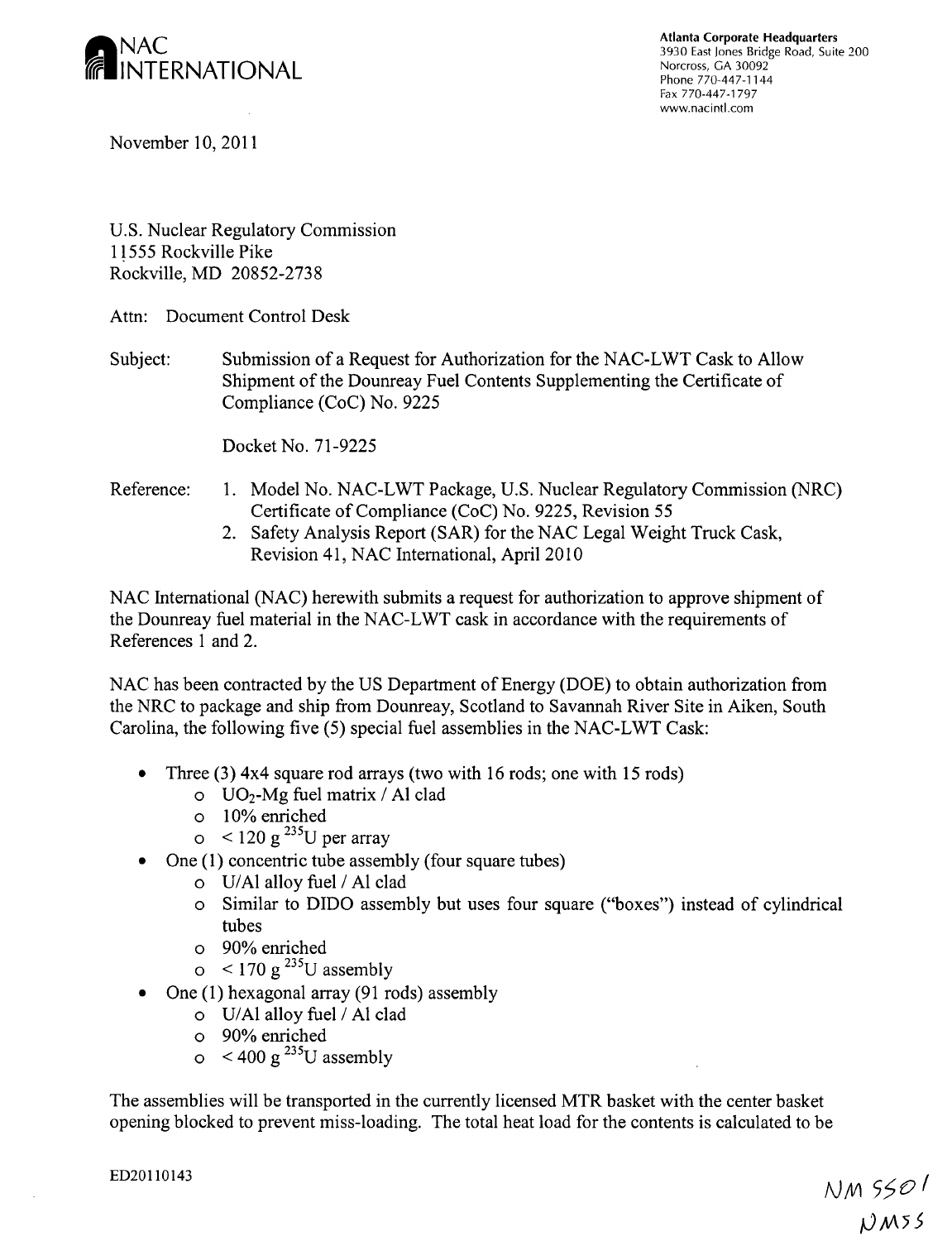

Atlanta Corporate Headquarters<br>3930 East Jones Bridge Road, Suite 200<br>Norcross, GA 30092 Fax 770-447-1797 www.nacintl.com

November 10, 2011

U.S. Nuclear Regulatory Commission 11555 Rockville Pike Rockville, MD 20852-2738

Attn: Document Control Desk

Subject: Submission of a Request for Authorization for the NAC-LWT Cask to Allow Shipment of the Dounreay Fuel Contents Supplementing the Certificate of Compliance (CoC) No. 9225

Docket No. 71-9225

### Reference: 1. Model No. NAC-LWT Package, U.S. Nuclear Regulatory Commission (NRC) Certificate of Compliance (CoC) No. 9225, Revision 55

2. Safety Analysis Report (SAR) for the NAC Legal Weight Truck Cask, Revision 41, NAC International, April 2010

NAC International (NAC) herewith submits a request for authorization to approve shipment of the Dounreay fuel material in the NAC-LWT cask in accordance with the requirements of References 1 and 2.

NAC has been contracted by the US Department of Energy (DOE) to obtain authorization from the NRC to package and ship from Dounreay, Scotland to Savannah River Site in Aiken, South Carolina, the following five (5) special fuel assemblies in the NAC-LWT Cask:

- **"** Three (3) 4x4 square rod arrays (two with 16 rods; one with 15 rods)
	- o U0 2-Mg fuel matrix / **Al** clad
	- o 10% enriched
	- $\sigma$  < 120 g<sup>235</sup>U per array
- One (1) concentric tube assembly (four square tubes)
	- o U/Al alloy fuel / **Al** clad
	- o Similar to DIDO assembly but uses four square ("boxes") instead of cylindrical tubes
	- o 90% enriched
	- $\sigma$  < 170 g<sup>235</sup>U assembly
- One (1) hexagonal array (91 rods) assembly
	- o U/Al alloy fuel / **Al** clad
	- o 90% enriched
	- $\circ$  < 400 g<sup>235</sup>U assembly

The assemblies will be transported in the currently licensed MTR basket with the center basket opening blocked to prevent miss-loading. The total heat load for the contents is calculated to be

ED20110143 *NIV)* **5ý0**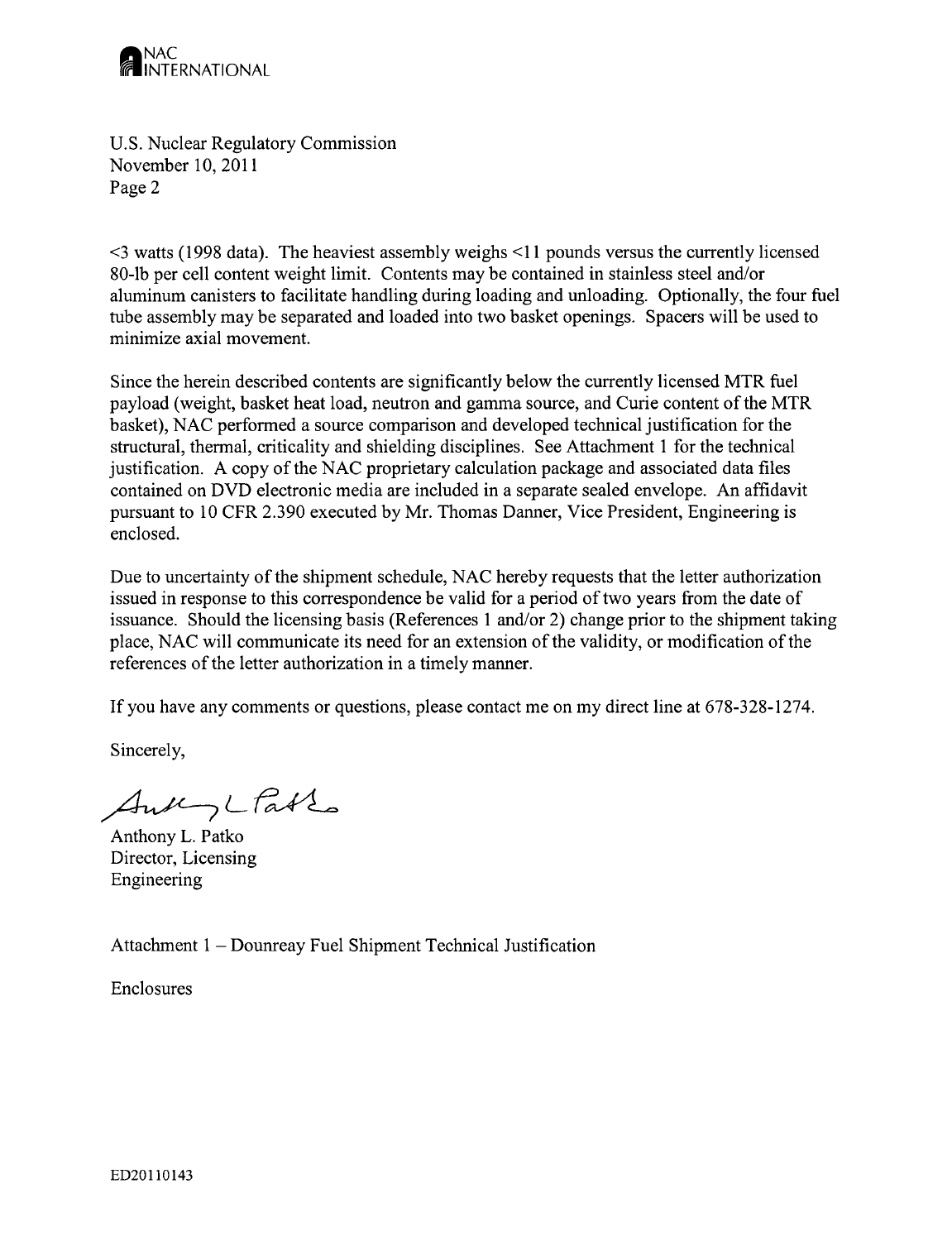

U.S. Nuclear Regulatory Commission November 10, 2011 Page 2

<3 watts (1998 data). The heaviest assembly weighs <11 pounds versus the currently licensed 80-lb per cell content weight limit. Contents may be contained in stainless steel and/or aluminum canisters to facilitate handling during loading and unloading. Optionally, the four fuel tube assembly may be separated and loaded into two basket openings. Spacers will be used to minimize axial movement.

Since the herein described contents are significantly below the currently licensed MTR fuel payload (weight, basket heat load, neutron and gamma source, and Curie content of the MTR basket), NAC performed a source comparison and developed technical justification for the structural, thermal, criticality and shielding disciplines. See Attachment 1 for the technical justification. A copy of the NAC proprietary calculation package and associated data files contained on DVD electronic media are included in a separate sealed envelope. An affidavit pursuant to 10 CFR 2.3 90 executed by Mr. Thomas Danner, Vice President, Engineering is enclosed.

Due to uncertainty of the shipment schedule, NAC hereby requests that the letter authorization issued in response to this correspondence be valid for a period of two years from the date of issuance. Should the licensing basis (References 1 and/or 2) change prior to the shipment taking place, NAC will communicate its need for an extension of the validity, or modification of the references of the letter authorization in a timely manner.

If you have any comments or questions, please contact me on my direct line at 678-328-1274.

Sincerely,

AnkyLtable

Anthony L. Patko Director, Licensing Engineering

Attachment 1 - Dounreay Fuel Shipment Technical Justification

Enclosures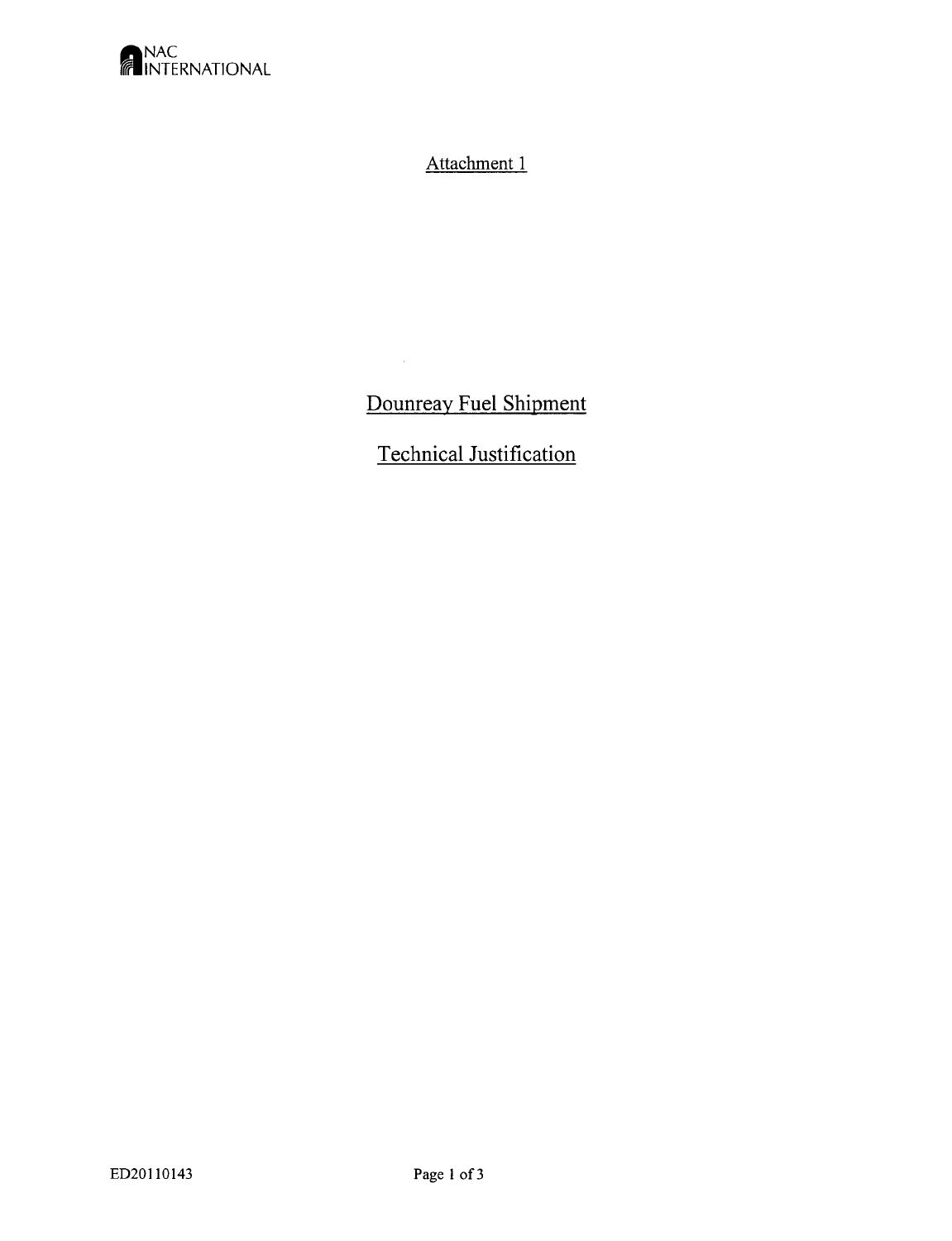

# Attachment 1

# Dounreay Fuel Shipment

 $\sim 10$ 

# Technical Justification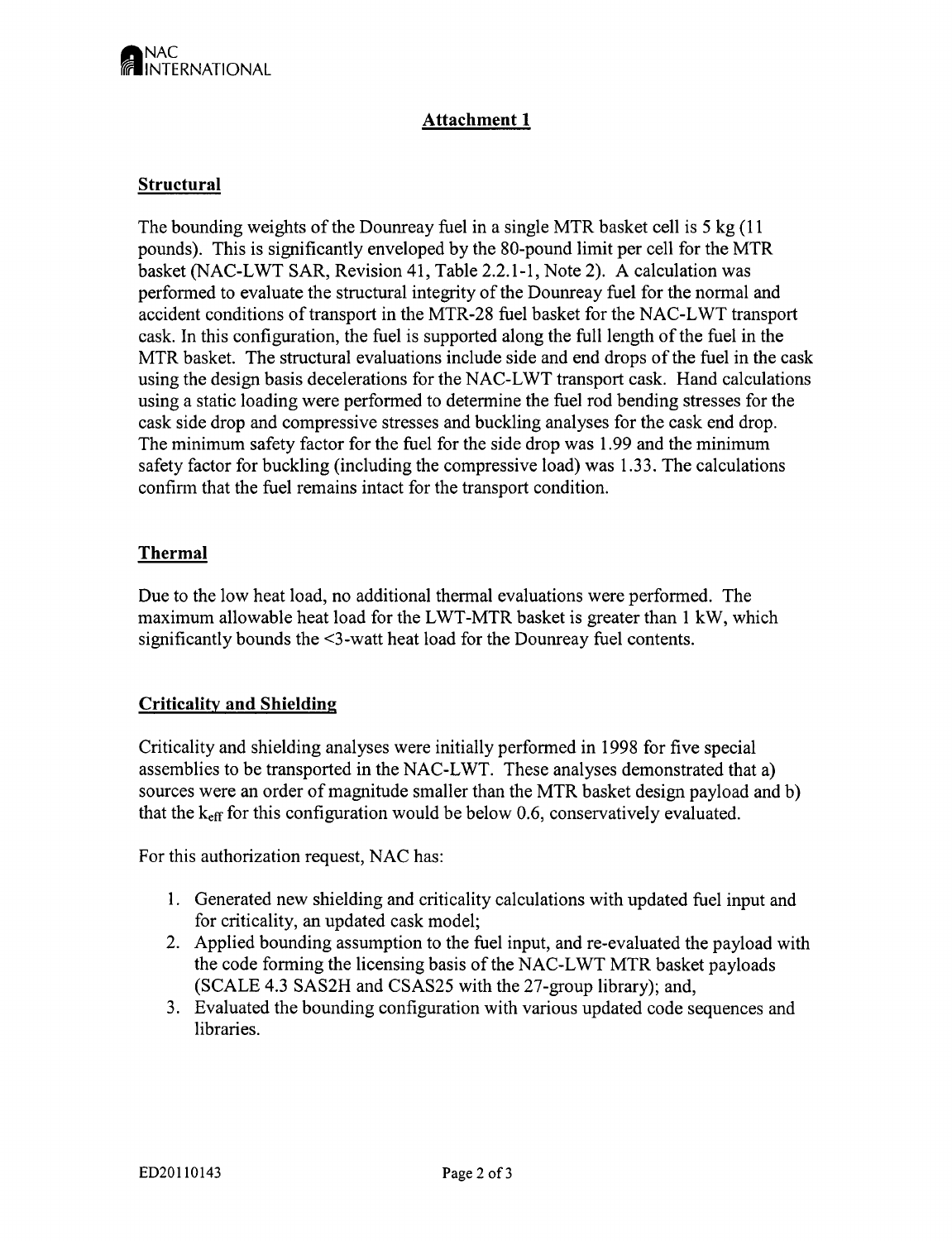

## Attachment **1**

### Structural

The bounding weights of the Dounreay fuel in a single MTR basket cell is 5 kg (11 pounds). This is significantly enveloped by the 80-pound limit per cell for the MTR basket (NAC-LWT SAR, Revision 41, Table 2.2.1-1, Note 2). A calculation was performed to evaluate the structural integrity of the Dounreay fuel for the normal and accident conditions of transport in the MTR-28 fuel basket for the NAC-LWT transport cask. In this configuration, the fuel is supported along the full length of the fuel in the MTR basket. The structural evaluations include side and end drops of the fuel in the cask using the design basis decelerations for the NAC-LWT transport cask. Hand calculations using a static loading were performed to determine the fuel rod bending stresses for the cask side drop and compressive stresses and buckling analyses for the cask end drop. The minimum safety factor for the fuel for the side drop was 1.99 and the minimum safety factor for buckling (including the compressive load) was 1.33. The calculations confirn that the fuel remains intact for the transport condition.

#### Thermal

Due to the low heat load, no additional thermal evaluations were performed. The maximum allowable heat load for the LWT-MTR basket is greater than 1 kW, which significantly bounds the <3-watt heat load for the Dounreay fuel contents.

#### Criticality and Shielding

Criticality and shielding analyses were initially performed in 1998 for five special assemblies to be transported in the NAC-LWT. These analyses demonstrated that a) sources were an order of magnitude smaller than the MTR basket design payload and b) that the **keff** for this configuration would be below 0.6, conservatively evaluated.

For this authorization request, NAC has:

- 1. Generated new shielding and criticality calculations with updated fuel input and for criticality, an updated cask model;
- 2. Applied bounding assumption to the fuel input, and re-evaluated the payload with the code forming the licensing basis of the NAC-LWT MTR basket payloads (SCALE 4.3 SAS2H and CSAS25 with the 27-group library); and,
- 3. Evaluated the bounding configuration with various updated code sequences and libraries.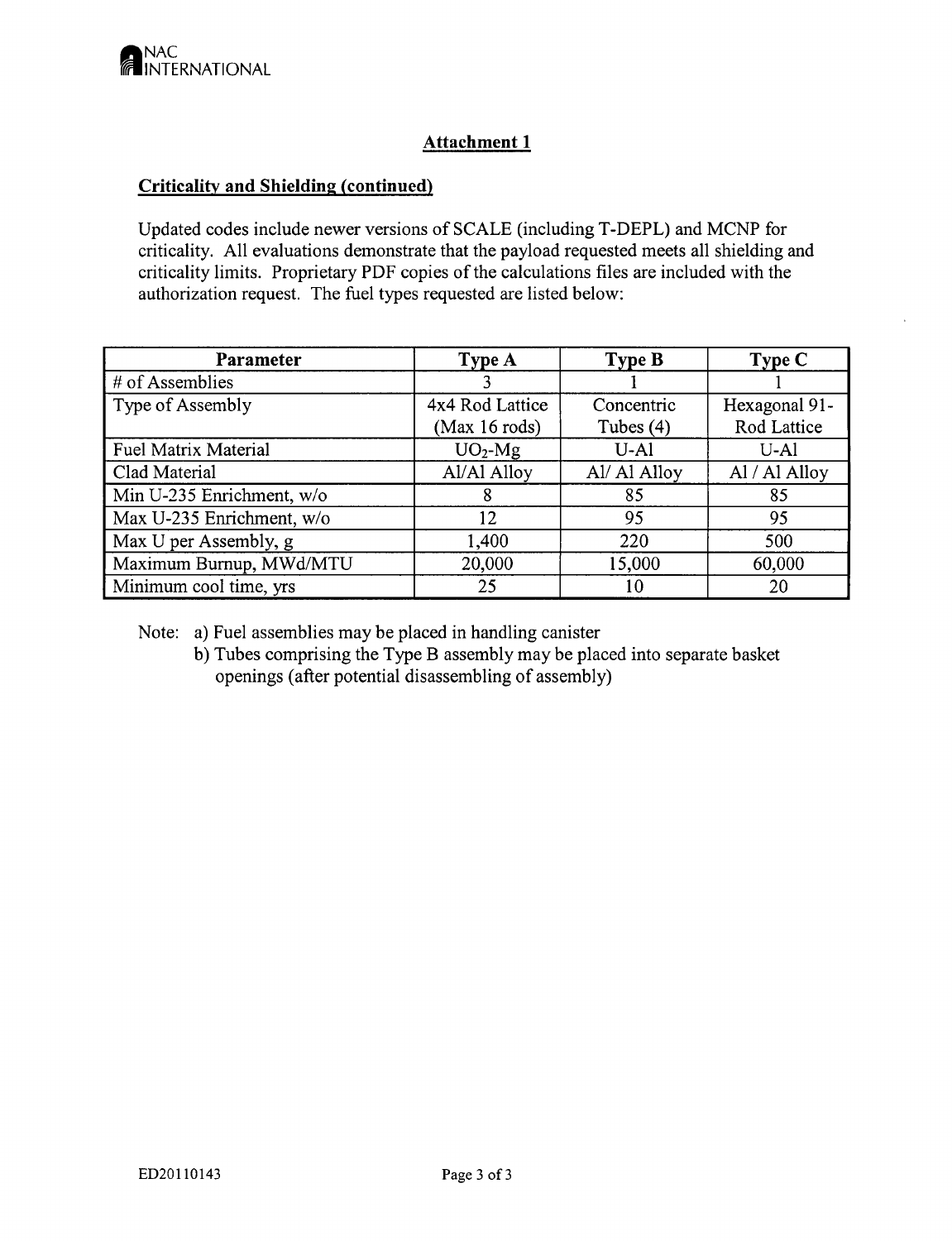## Attachment **1**

## Criticality and Shielding (continued)

Updated codes include newer versions of SCALE (including T-DEPL) and MCNP for criticality. All evaluations demonstrate that the payload requested meets all shielding and criticality limits. Proprietary PDF copies of the calculations files are included with the authorization request. The fuel types requested are listed below:

| Parameter                 | Type A          | <b>Type B</b> | Type C        |
|---------------------------|-----------------|---------------|---------------|
| # of Assemblies           |                 |               |               |
| Type of Assembly          | 4x4 Rod Lattice | Concentric    | Hexagonal 91- |
|                           | (Max 16 rods)   | Tubes $(4)$   | Rod Lattice   |
| Fuel Matrix Material      | $UO2-Mg$        | $U-A1$        | $U-A1$        |
| Clad Material             | Al/Al Alloy     | Al/ Al Alloy  | Al / Al Alloy |
| Min U-235 Enrichment, w/o | x               | 85            | 85            |
| Max U-235 Enrichment, w/o | 12              | 95            | 95            |
| Max U per Assembly, g     | 1,400           | 220           | 500           |
| Maximum Burnup, MWd/MTU   | 20,000          | 15,000        | 60,000        |
| Minimum cool time, yrs    | 25              | 10            | 20            |

Note: a) Fuel assemblies may be placed in handling canister

b) Tubes comprising the Type B assembly may be placed into separate basket openings (after potential disassembling of assembly)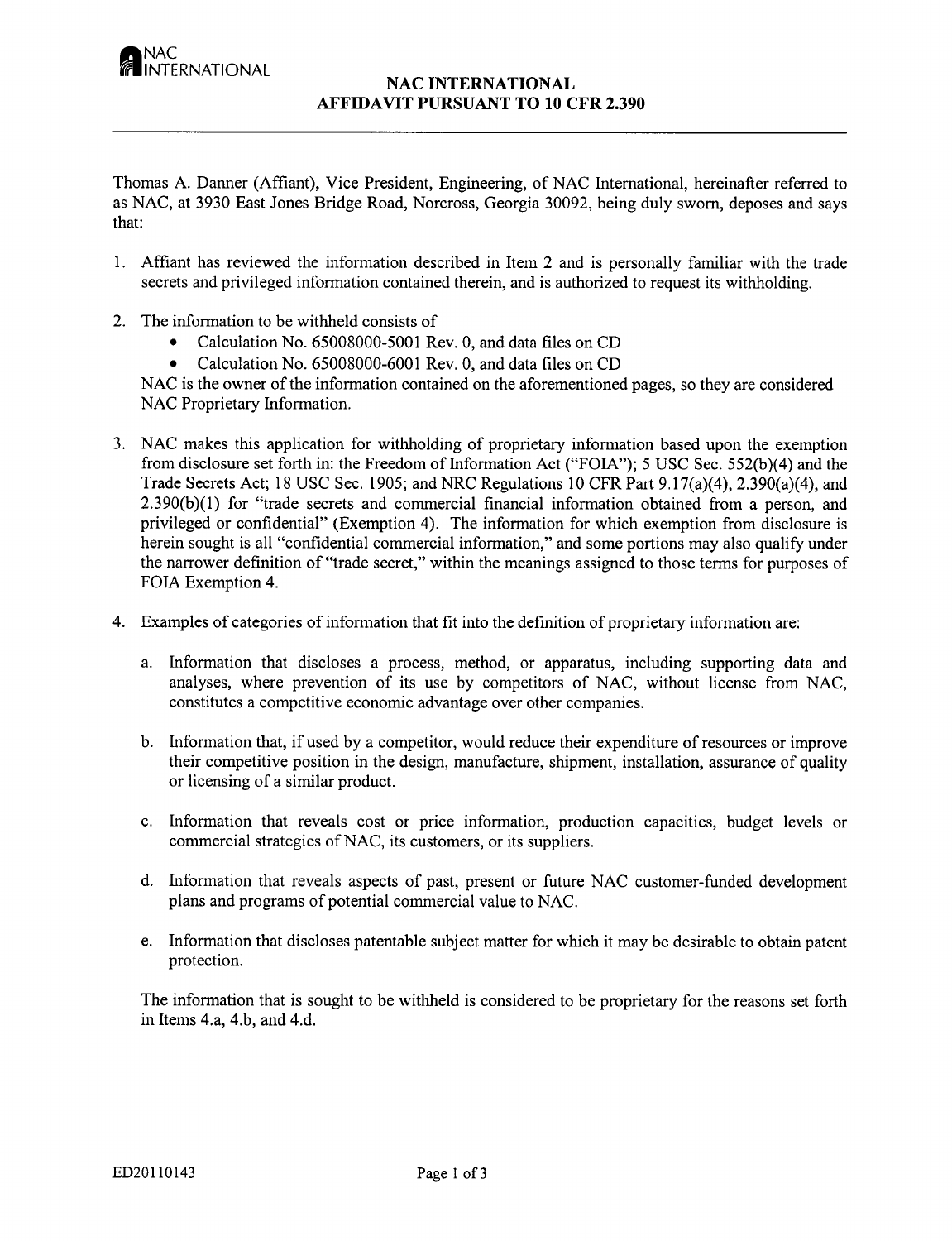#### **NAC INTERNATIONAL AFFIDAVIT PURSUANT** TO **10** CFR **2.390**

Thomas A. Danner (Affiant), Vice President, Engineering, of **NAC** International, hereinafter referred to as NAC, at 3930 East Jones Bridge Road, Norcross, Georgia 30092, being duly sworn, deposes and says that:

- 1. Affiant has reviewed the information described in Item 2 and is personally familiar with the trade secrets and privileged information contained therein, and is authorized to request its withholding.
- 2. The information to be withheld consists of
	- Calculation No. 65008000-5001 Rev. 0, and data files on CD
	- Calculation No. 65008000-6001 Rev. 0, and data files on CD

**NAC** is the owner of the information contained on the aforementioned pages, so they are considered **NAC** Proprietary Information.

- 3. **NAC** makes this application for withholding of proprietary information based upon the exemption from disclosure set forth in: the Freedom of Information Act ("FOIA"); 5 USC Sec. 552(b)(4) and the Trade Secrets Act; 18 USC Sec. 1905; and NRC Regulations 10 CFR Part 9.17(a)(4), 2.390(a)(4), and 2.390(b)(1) for "trade secrets and commercial financial information obtained from a person, and privileged or confidential" (Exemption 4). The information for which exemption from disclosure is herein sought is all "confidential commercial information," and some portions may also qualify under the narrower definition of "trade secret," within the meanings assigned to those terms for purposes of FOIA Exemption 4.
- 4. Examples of categories of information that fit into the definition of proprietary information are:
	- a. Information that discloses a process, method, or apparatus, including supporting data and analyses, where prevention of its use by competitors of NAC, without license from **NAC,** constitutes a competitive economic advantage over other companies.
	- b. Information that, if used by a competitor, would reduce their expenditure of resources or improve their competitive position in the design, manufacture, shipment, installation, assurance of quality or licensing of a similar product.
	- c. Information that reveals cost or price information, production capacities, budget levels or commercial strategies of NAC, its customers, or its suppliers.
	- d. Information that reveals aspects of past, present or future **NAC** customer-funded development plans and programs of potential commercial value to **NAC.**
	- e. Information that discloses patentable subject matter for which it may be desirable to obtain patent protection.

The information that is sought to be withheld is considered to be proprietary for the reasons set forth in Items 4.a, 4.b, and 4.d.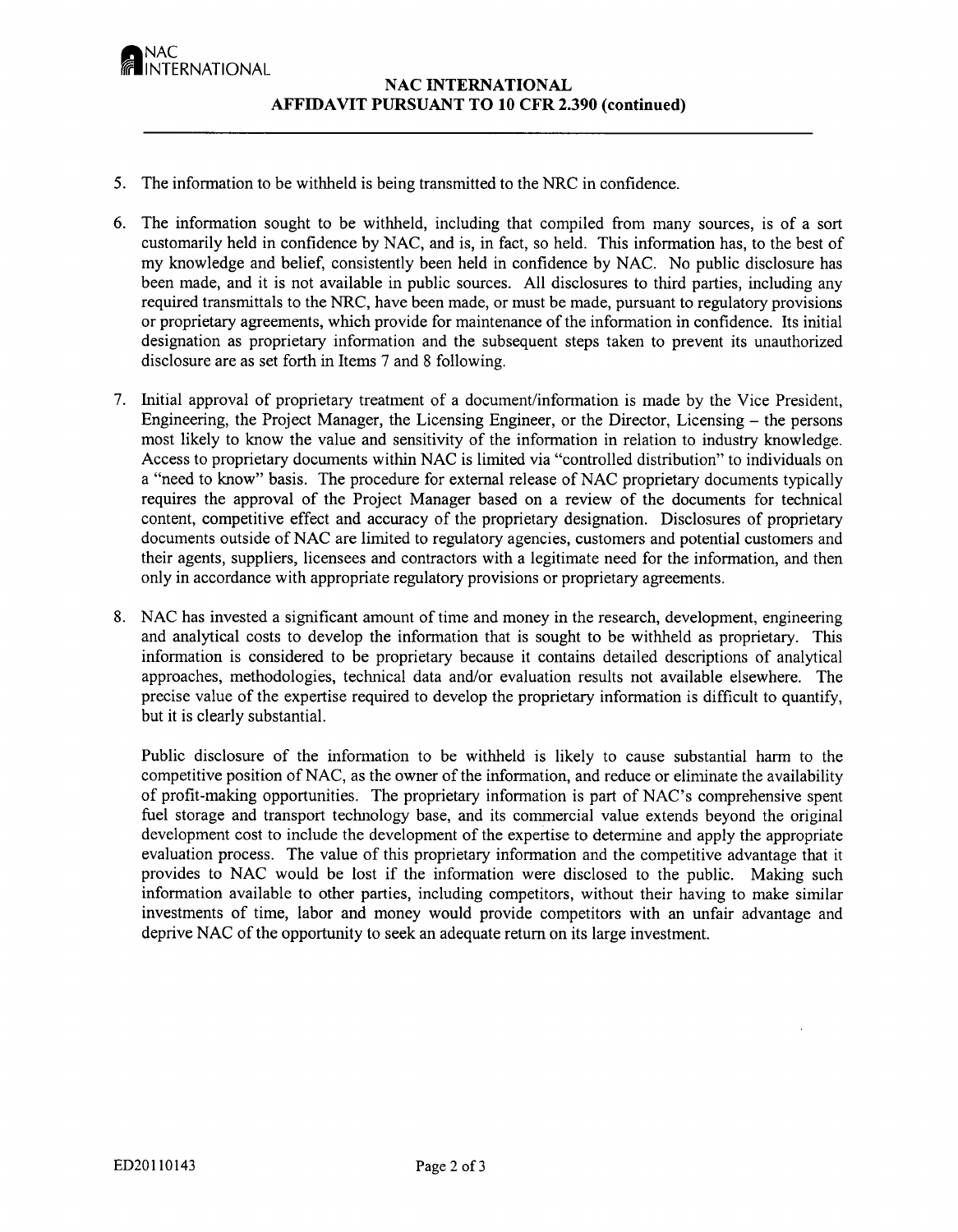<sub>I</sub>NAC<br>IINTERNATIONAL

- *5.* The information to be withheld is being transmitted to the NRC in confidence.
- 6. The information sought to be withheld, including that compiled from many sources, is of a sort customarily held in confidence by NAC, and is, in fact, so held. This information has, to the best of my knowledge and belief, consistently been held in confidence by NAC. No public disclosure has been made, and it is not available in public sources. All disclosures to third parties, including any required transmittals to the NRC, have been made, or must be made, pursuant to regulatory provisions or proprietary agreements, which provide for maintenance of the information in confidence. Its initial designation as proprietary information and the subsequent steps taken to prevent its unauthorized disclosure are as set forth in Items 7 and 8 following.
- 7. Initial approval of proprietary treatment of a document/information is made by the Vice President, Engineering, the Project Manager, the Licensing Engineer, or the Director, Licensing – the persons most likely to know the value and sensitivity of the information in relation to industry knowledge. Access to proprietary documents within **NAC** is limited via "controlled distribution" to individuals on a "need to know" basis. The procedure for external release of **NAC** proprietary documents typically requires the approval of the Project Manager based on a review of the documents for technical content, competitive effect and accuracy of the proprietary designation. Disclosures of proprietary documents outside of **NAC** are limited to regulatory agencies, customers and potential customers and their agents, suppliers, licensees and contractors with a legitimate need for the information, and then only in accordance with appropriate regulatory provisions or proprietary agreements.
- 8. **NAC** has invested a significant amount of time and money in the research, development, engineering and analytical costs to develop the information that is sought to be withheld as proprietary. This information is considered to be proprietary because it contains detailed descriptions of analytical approaches, methodologies, technical data and/or evaluation results not available elsewhere. The precise value of the expertise required to develop the proprietary information is difficult to quantify, but it is clearly substantial.

Public disclosure of the informnation to be withheld is likely to cause substantial harm to the competitive position of NAC, as the owner of the information, and reduce or eliminate the availability of profit-making opportunities. The proprietary information is part of NAC's comprehensive spent fuel storage and transport technology base, and its commercial value extends beyond the original development cost to include the development of the expertise to determine and apply the appropriate evaluation process. The value of this proprietary information and the competitive advantage that it provides to **NAC** would be lost if the information were disclosed to the public. Making such information available to other parties, including competitors, without their having to make similar investments of time, labor and money would provide competitors with an unfair advantage and deprive **NAC** of the opportunity to seek an adequate return on its large investment.